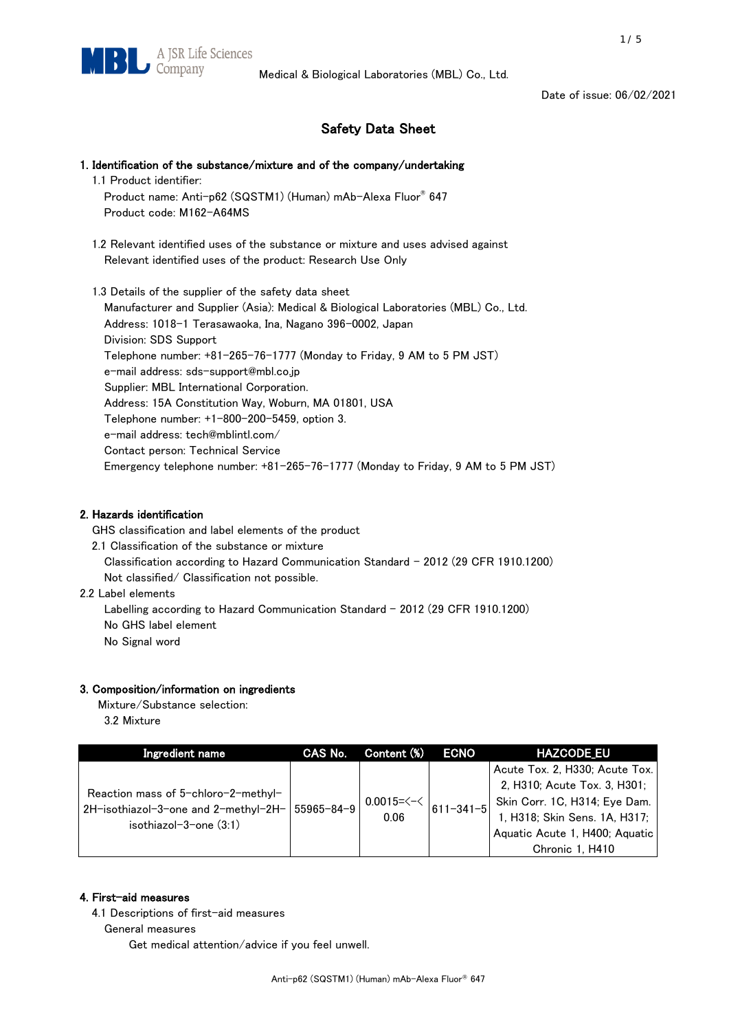

# Safety Data Sheet

- 1. Identification of the substance/mixture and of the company/undertaking
	- 1.1 Product identifier:
		- Product name: Anti-p62 (SQSTM1) (Human) mAb-Alexa Fluor® 647 Product code: M162-A64MS
	- 1.2 Relevant identified uses of the substance or mixture and uses advised against Relevant identified uses of the product: Research Use Only

1.3 Details of the supplier of the safety data sheet Manufacturer and Supplier (Asia): Medical & Biological Laboratories (MBL) Co., Ltd. Address: 1018-1 Terasawaoka, Ina, Nagano 396-0002, Japan Division: SDS Support Telephone number: +81-265-76-1777 (Monday to Friday, 9 AM to 5 PM JST) e-mail address: sds-support@mbl.co.jp Supplier: MBL International Corporation. Address: 15A Constitution Way, Woburn, MA 01801, USA Telephone number: +1-800-200-5459, option 3. e-mail address: tech@mblintl.com/ Contact person: Technical Service Emergency telephone number: +81-265-76-1777 (Monday to Friday, 9 AM to 5 PM JST)

## 2. Hazards identification

GHS classification and label elements of the product

- 2.1 Classification of the substance or mixture Classification according to Hazard Communication Standard - 2012 (29 CFR 1910.1200) Not classified/ Classification not possible.
- 2.2 Label elements

Labelling according to Hazard Communication Standard - 2012 (29 CFR 1910.1200) No GHS label element

No Signal word

# 3. Composition/information on ingredients

Mixture/Substance selection:

3.2 Mixture

| Ingredient name                                                                                                    | CAS No. | Content (%)                    | <b>ECNO</b>     | <b>HAZCODE EU</b>                                                                                                                                                                     |
|--------------------------------------------------------------------------------------------------------------------|---------|--------------------------------|-----------------|---------------------------------------------------------------------------------------------------------------------------------------------------------------------------------------|
| Reaction mass of 5-chloro-2-methyl-<br>2H-isothiazol-3-one and 2-methyl-2H-   55965-84-9<br>isothiazol-3-one (3:1) |         | $0.0015 = \leq - \leq$<br>0.06 | $611 - 341 - 5$ | Acute Tox. 2, H330; Acute Tox.<br>2, H310; Acute Tox. 3, H301;<br>Skin Corr. 1C, H314; Eye Dam.<br>1, H318; Skin Sens. 1A, H317;<br>Aquatic Acute 1, H400; Aquatic<br>Chronic 1, H410 |

## 4. First-aid measures

4.1 Descriptions of first-aid measures

General measures

Get medical attention/advice if you feel unwell.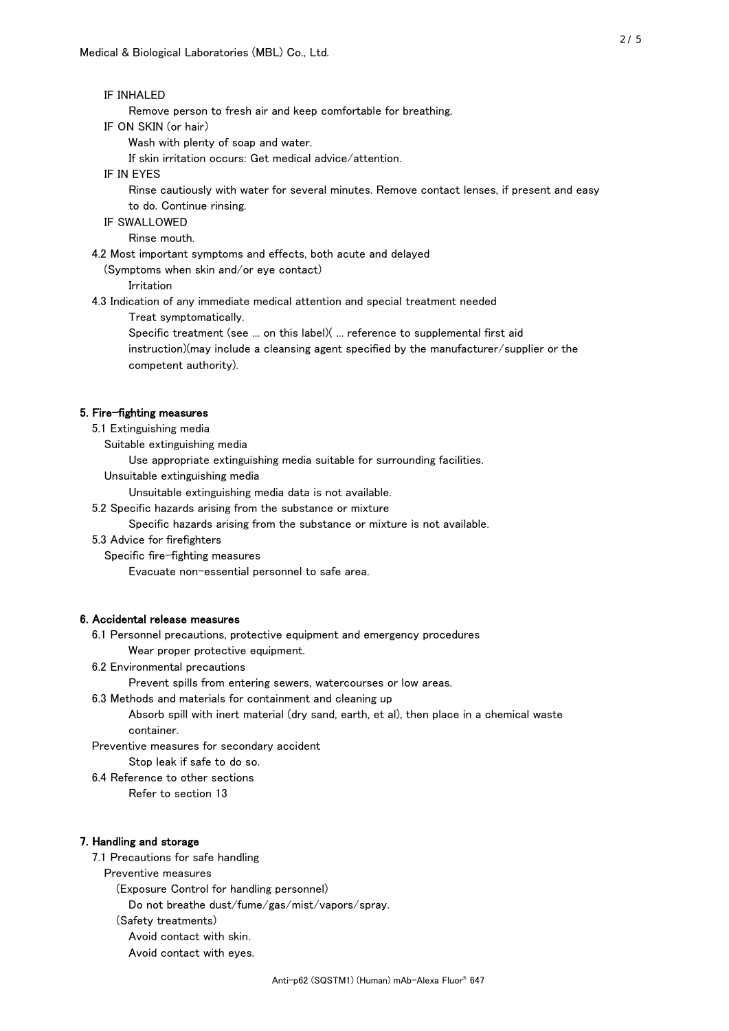#### IF INHALED

Remove person to fresh air and keep comfortable for breathing.

IF ON SKIN (or hair)

Wash with plenty of soap and water.

If skin irritation occurs: Get medical advice/attention.

#### IF IN EYES

Rinse cautiously with water for several minutes. Remove contact lenses, if present and easy

to do. Continue rinsing.

# IF SWALLOWED

Rinse mouth.

4.2 Most important symptoms and effects, both acute and delayed

(Symptoms when skin and/or eye contact)

#### Irritation

4.3 Indication of any immediate medical attention and special treatment needed

Treat symptomatically.

 Specific treatment (see ... on this label)( ... reference to supplemental first aid instruction)(may include a cleansing agent specified by the manufacturer/supplier or the competent authority).

## 5. Fire-fighting measures

5.1 Extinguishing media

Suitable extinguishing media

Use appropriate extinguishing media suitable for surrounding facilities.

Unsuitable extinguishing media

Unsuitable extinguishing media data is not available.

5.2 Specific hazards arising from the substance or mixture

Specific hazards arising from the substance or mixture is not available.

#### 5.3 Advice for firefighters

Specific fire-fighting measures

Evacuate non-essential personnel to safe area.

## 6. Accidental release measures

 6.1 Personnel precautions, protective equipment and emergency procedures Wear proper protective equipment.

#### 6.2 Environmental precautions

Prevent spills from entering sewers, watercourses or low areas.

#### 6.3 Methods and materials for containment and cleaning up

 Absorb spill with inert material (dry sand, earth, et al), then place in a chemical waste container.

Preventive measures for secondary accident

Stop leak if safe to do so.

6.4 Reference to other sections

Refer to section 13

#### 7. Handling and storage

7.1 Precautions for safe handling

Preventive measures

(Exposure Control for handling personnel)

Do not breathe dust/fume/gas/mist/vapors/spray.

(Safety treatments)

Avoid contact with skin.

Avoid contact with eyes.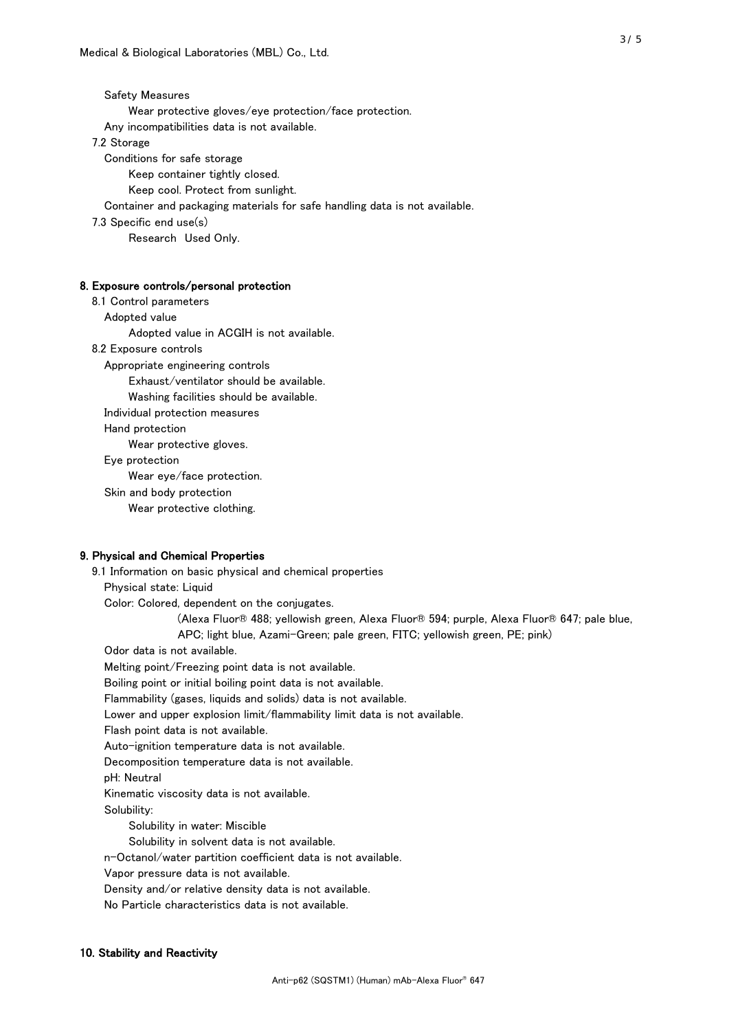Safety Measures Wear protective gloves/eye protection/face protection. Any incompatibilities data is not available. 7.2 Storage Conditions for safe storage Keep container tightly closed. Keep cool. Protect from sunlight. Container and packaging materials for safe handling data is not available. 7.3 Specific end use(s) Research Used Only.

# 8. Exposure controls/personal protection

 8.1 Control parameters Adopted value Adopted value in ACGIH is not available. 8.2 Exposure controls Appropriate engineering controls Exhaust/ventilator should be available. Washing facilities should be available. Individual protection measures Hand protection Wear protective gloves. Eye protection Wear eye/face protection. Skin and body protection Wear protective clothing.

#### 9. Physical and Chemical Properties

 9.1 Information on basic physical and chemical properties Physical state: Liquid Color: Colored, dependent on the conjugates. (Alexa Fluor® 488; yellowish green, Alexa Fluor® 594; purple, Alexa Fluor® 647; pale blue, APC; light blue, Azami-Green; pale green, FITC; yellowish green, PE; pink) Odor data is not available. Melting point/Freezing point data is not available. Boiling point or initial boiling point data is not available. Flammability (gases, liquids and solids) data is not available. Lower and upper explosion limit/flammability limit data is not available. Flash point data is not available. Auto-ignition temperature data is not available. Decomposition temperature data is not available. pH: Neutral Kinematic viscosity data is not available. Solubility: Solubility in water: Miscible Solubility in solvent data is not available. n-Octanol/water partition coefficient data is not available. Vapor pressure data is not available. Density and/or relative density data is not available. No Particle characteristics data is not available.

#### 10. Stability and Reactivity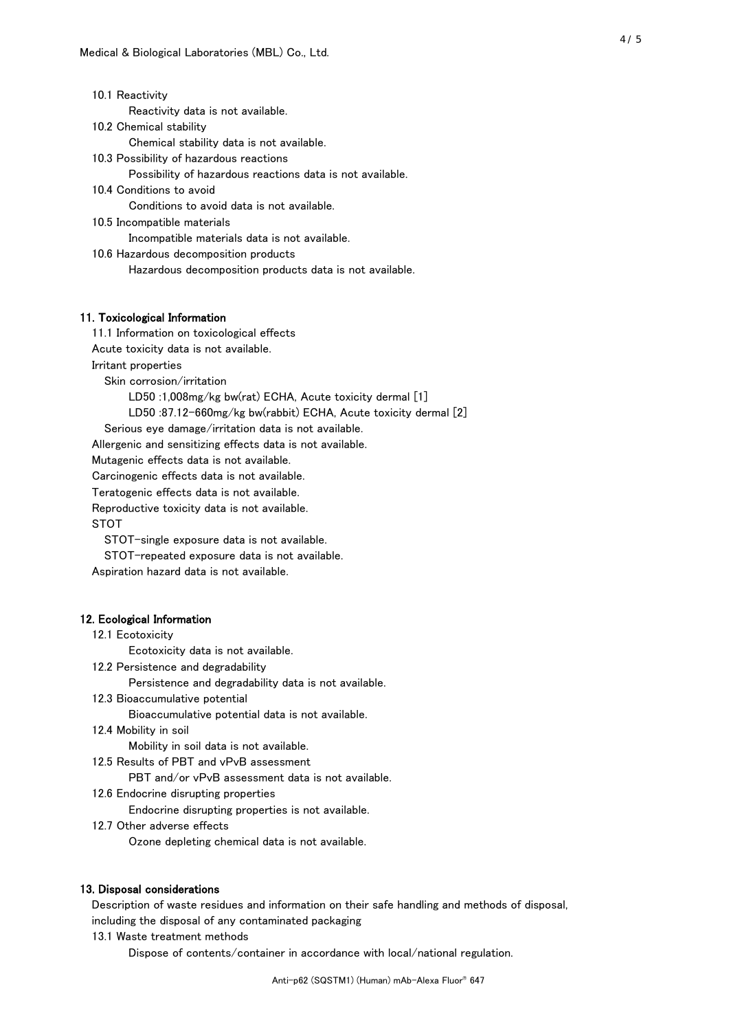| 10.1 Reactivity                                           |
|-----------------------------------------------------------|
| Reactivity data is not available.                         |
| 10.2 Chemical stability                                   |
| Chemical stability data is not available.                 |
| 10.3 Possibility of hazardous reactions                   |
| Possibility of hazardous reactions data is not available. |
| 10.4 Conditions to avoid                                  |
| Conditions to avoid data is not available.                |
| 10.5 Incompatible materials                               |
| Incompatible materials data is not available.             |
| 10.6 Hazardous decomposition products                     |
| Hazardous decomposition products data is not available.   |
|                                                           |
|                                                           |
|                                                           |

## 11. Toxicological Information

 11.1 Information on toxicological effects Acute toxicity data is not available. Irritant properties Skin corrosion/irritation LD50 :1,008mg/kg bw(rat) ECHA, Acute toxicity dermal [1] LD50 :87.12-660mg/kg bw(rabbit) ECHA, Acute toxicity dermal [2]

Serious eye damage/irritation data is not available.

Allergenic and sensitizing effects data is not available.

Mutagenic effects data is not available.

Carcinogenic effects data is not available.

Teratogenic effects data is not available.

Reproductive toxicity data is not available.

STOT

STOT-single exposure data is not available.

STOT-repeated exposure data is not available.

Aspiration hazard data is not available.

#### 12. Ecological Information

#### 12.1 Ecotoxicity

Ecotoxicity data is not available.

12.2 Persistence and degradability

Persistence and degradability data is not available.

12.3 Bioaccumulative potential

Bioaccumulative potential data is not available.

12.4 Mobility in soil

Mobility in soil data is not available.

12.5 Results of PBT and vPvB assessment

PBT and/or vPvB assessment data is not available.

12.6 Endocrine disrupting properties

Endocrine disrupting properties is not available.

12.7 Other adverse effects

Ozone depleting chemical data is not available.

## 13. Disposal considerations

Description of waste residues and information on their safe handling and methods of disposal,

including the disposal of any contaminated packaging

13.1 Waste treatment methods

Dispose of contents/container in accordance with local/national regulation.